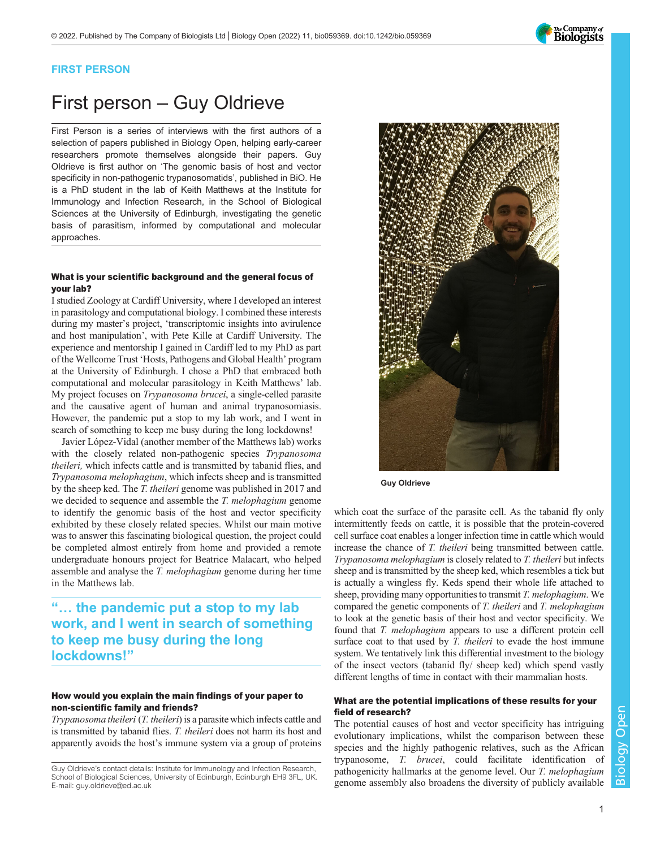## The Company of<br>**Biologists**

### FIRST PERSON

# First person – Guy Oldrieve

First Person is a series of interviews with the first authors of a selection of papers published in Biology Open, helping early-career researchers promote themselves alongside their papers. Guy Oldrieve is first author on '[The genomic basis of host and vector](#page-1-0) [specificity in non-pathogenic trypanosomatids](#page-1-0)', published in BiO. He is a PhD student in the lab of Keith Matthews at the Institute for Immunology and Infection Research, in the School of Biological Sciences at the University of Edinburgh, investigating the genetic basis of parasitism, informed by computational and molecular approaches.

#### What is your scientific background and the general focus of your lab?

I studied Zoology at Cardiff University, where I developed an interest in parasitology and computational biology. I combined these interests during my master's project, 'transcriptomic insights into avirulence and host manipulation', with Pete Kille at Cardiff University. The experience and mentorship I gained in Cardiff led to my PhD as part of the Wellcome Trust 'Hosts, Pathogens and Global Health' program at the University of Edinburgh. I chose a PhD that embraced both computational and molecular parasitology in Keith Matthews' lab. My project focuses on Trypanosoma brucei, a single-celled parasite and the causative agent of human and animal trypanosomiasis. However, the pandemic put a stop to my lab work, and I went in search of something to keep me busy during the long lockdowns!

Javier López-Vidal (another member of the Matthews lab) works with the closely related non-pathogenic species Trypanosoma theileri, which infects cattle and is transmitted by tabanid flies, and Trypanosoma melophagium, which infects sheep and is transmitted by the sheep ked. The T. theileri genome was published in 2017 and we decided to sequence and assemble the *T. melophagium* genome to identify the genomic basis of the host and vector specificity exhibited by these closely related species. Whilst our main motive was to answer this fascinating biological question, the project could be completed almost entirely from home and provided a remote undergraduate honours project for Beatrice Malacart, who helped assemble and analyse the T. melophagium genome during her time in the Matthews lab.

### "… the pandemic put a stop to my lab work, and I went in search of something to keep me busy during the long lockdowns!"

#### How would you explain the main findings of your paper to non-scientific family and friends?

Trypanosoma theileri (T. theileri) is a parasite which infects cattle and is transmitted by tabanid flies. T. theileri does not harm its host and apparently avoids the host's immune system via a group of proteins



Guy Oldrieve

which coat the surface of the parasite cell. As the tabanid fly only intermittently feeds on cattle, it is possible that the protein-covered cell surface coat enables a longer infection time in cattle which would increase the chance of T. theileri being transmitted between cattle. Trypanosoma melophagium is closely related to T. theileri but infects sheep and is transmitted by the sheep ked, which resembles a tick but is actually a wingless fly. Keds spend their whole life attached to sheep, providing many opportunities to transmit T. melophagium. We compared the genetic components of T. theileri and T. melophagium to look at the genetic basis of their host and vector specificity. We found that T. melophagium appears to use a different protein cell surface coat to that used by *T. theileri* to evade the host immune system. We tentatively link this differential investment to the biology of the insect vectors (tabanid fly/ sheep ked) which spend vastly different lengths of time in contact with their mammalian hosts.

#### What are the potential implications of these results for your field of research?

The potential causes of host and vector specificity has intriguing evolutionary implications, whilst the comparison between these species and the highly pathogenic relatives, such as the African trypanosome, T. brucei, could facilitate identification of pathogenicity hallmarks at the genome level. Our T. melophagium genome assembly also broadens the diversity of publicly available

Guy Oldrieve's contact details: Institute for Immunology and Infection Research, School of Biological Sciences, University of Edinburgh, Edinburgh EH9 3FL, UK. E-mail: [guy.oldrieve@ed.ac.uk](mailto:guy.oldrieve@ed.ac.uk)